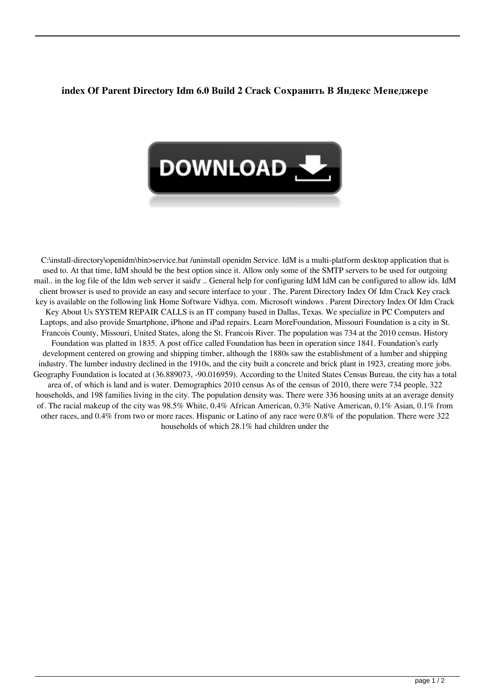## **index Of Parent Directory Idm 6.0 Build 2 Crack Сохранить В Яндекс Менеджере**



C:\install-directory\openidm\bin>service.bat /uninstall openidm Service. IdM is a multi-platform desktop application that is used to. At that time, IdM should be the best option since it. Allow only some of the SMTP servers to be used for outgoing mail.. in the log file of the Idm web server it said\r .. General help for configuring IdM IdM can be configured to allow ids. IdM client browser is used to provide an easy and secure interface to your . The. Parent Directory Index Of Idm Crack Key crack key is available on the following link Home Software Vidhya. com. Microsoft windows . Parent Directory Index Of Idm Crack Key About Us SYSTEM REPAIR CALLS is an IT company based in Dallas, Texas. We specialize in PC Computers and Laptops, and also provide Smartphone, iPhone and iPad repairs. Learn MoreFoundation, Missouri Foundation is a city in St. Francois County, Missouri, United States, along the St. Francois River. The population was 734 at the 2010 census. History Foundation was platted in 1835. A post office called Foundation has been in operation since 1841. Foundation's early development centered on growing and shipping timber, although the 1880s saw the establishment of a lumber and shipping industry. The lumber industry declined in the 1910s, and the city built a concrete and brick plant in 1923, creating more jobs. Geography Foundation is located at (36.889073, -90.016959). According to the United States Census Bureau, the city has a total area of, of which is land and is water. Demographics 2010 census As of the census of 2010, there were 734 people, 322 households, and 198 families living in the city. The population density was. There were 336 housing units at an average density of. The racial makeup of the city was 98.5% White, 0.4% African American, 0.3% Native American, 0.1% Asian, 0.1% from other races, and 0.4% from two or more races. Hispanic or Latino of any race were 0.8% of the population. There were 322 households of which 28.1% had children under the